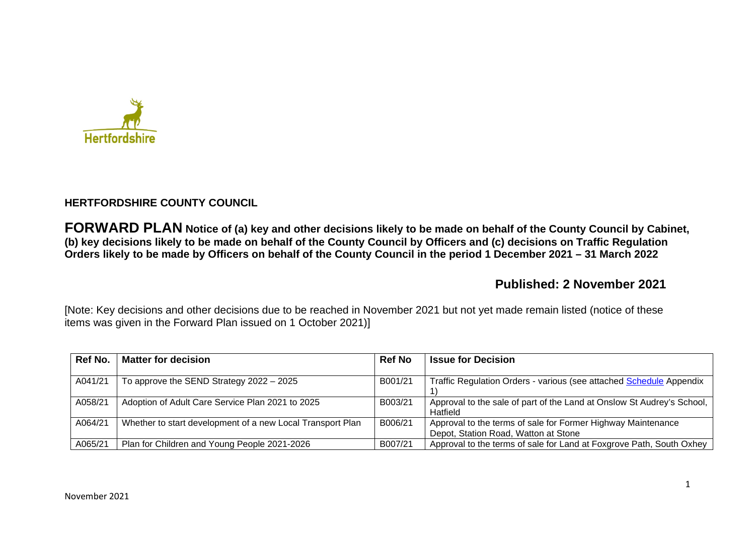

## **HERTFORDSHIRE COUNTY COUNCIL**

**FORWARD PLAN Notice of (a) key and other decisions likely to be made on behalf of the County Council by Cabinet, (b) key decisions likely to be made on behalf of the County Council by Officers and (c) decisions on Traffic Regulation Orders likely to be made by Officers on behalf of the County Council in the period 1 December 2021 – 31 March 2022** 

# **Published: 2 November 2021**

[Note: Key decisions and other decisions due to be reached in November 2021 but not yet made remain listed (notice of these items was given in the Forward Plan issued on 1 October 2021)]

| Ref No. | <b>Matter for decision</b>                                 | <b>Ref No</b> | <b>Issue for Decision</b>                                              |
|---------|------------------------------------------------------------|---------------|------------------------------------------------------------------------|
|         |                                                            |               |                                                                        |
| A041/21 | To approve the SEND Strategy $2022 - 2025$                 | B001/21       | Traffic Regulation Orders - various (see attached Schedule Appendix    |
|         |                                                            |               |                                                                        |
| A058/21 | Adoption of Adult Care Service Plan 2021 to 2025           | B003/21       | Approval to the sale of part of the Land at Onslow St Audrey's School, |
|         |                                                            |               | Hatfield                                                               |
| A064/21 | Whether to start development of a new Local Transport Plan | B006/21       | Approval to the terms of sale for Former Highway Maintenance           |
|         |                                                            |               | Depot, Station Road, Watton at Stone                                   |
| A065/21 | Plan for Children and Young People 2021-2026               | B007/21       | Approval to the terms of sale for Land at Foxgrove Path, South Oxhey   |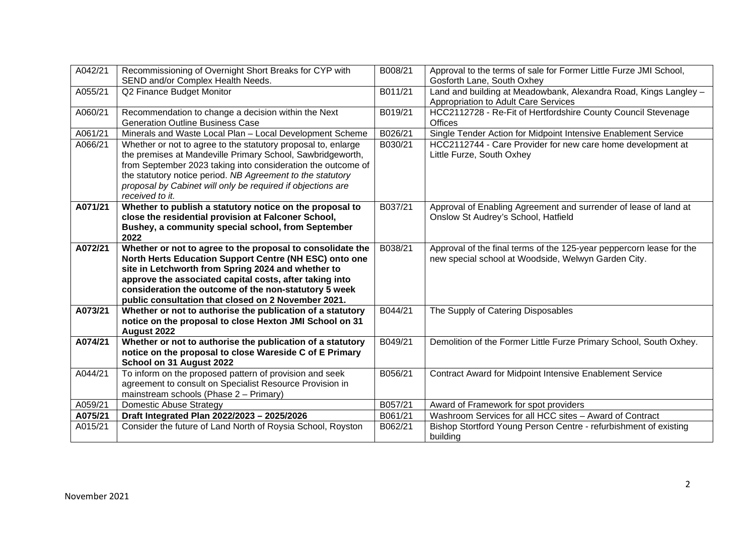| A042/21 | Recommissioning of Overnight Short Breaks for CYP with                                                                                                                                                                                                                                                                                      | B008/21 | Approval to the terms of sale for Former Little Furze JMI School,                                                                      |
|---------|---------------------------------------------------------------------------------------------------------------------------------------------------------------------------------------------------------------------------------------------------------------------------------------------------------------------------------------------|---------|----------------------------------------------------------------------------------------------------------------------------------------|
| A055/21 | SEND and/or Complex Health Needs.<br>Q2 Finance Budget Monitor                                                                                                                                                                                                                                                                              | B011/21 | Gosforth Lane, South Oxhey<br>Land and building at Meadowbank, Alexandra Road, Kings Langley -<br>Appropriation to Adult Care Services |
| A060/21 | Recommendation to change a decision within the Next<br><b>Generation Outline Business Case</b>                                                                                                                                                                                                                                              | B019/21 | HCC2112728 - Re-Fit of Hertfordshire County Council Stevenage<br><b>Offices</b>                                                        |
| A061/21 | Minerals and Waste Local Plan - Local Development Scheme                                                                                                                                                                                                                                                                                    | B026/21 | Single Tender Action for Midpoint Intensive Enablement Service                                                                         |
| A066/21 | Whether or not to agree to the statutory proposal to, enlarge<br>the premises at Mandeville Primary School, Sawbridgeworth,<br>from September 2023 taking into consideration the outcome of<br>the statutory notice period. NB Agreement to the statutory<br>proposal by Cabinet will only be required if objections are<br>received to it. | B030/21 | HCC2112744 - Care Provider for new care home development at<br>Little Furze, South Oxhey                                               |
| A071/21 | Whether to publish a statutory notice on the proposal to<br>close the residential provision at Falconer School,<br>Bushey, a community special school, from September<br>2022                                                                                                                                                               | B037/21 | Approval of Enabling Agreement and surrender of lease of land at<br>Onslow St Audrey's School, Hatfield                                |
| A072/21 | Whether or not to agree to the proposal to consolidate the<br>North Herts Education Support Centre (NH ESC) onto one                                                                                                                                                                                                                        | B038/21 | Approval of the final terms of the 125-year peppercorn lease for the<br>new special school at Woodside, Welwyn Garden City.            |
|         | site in Letchworth from Spring 2024 and whether to<br>approve the associated capital costs, after taking into<br>consideration the outcome of the non-statutory 5 week<br>public consultation that closed on 2 November 2021.                                                                                                               |         |                                                                                                                                        |
| A073/21 | Whether or not to authorise the publication of a statutory<br>notice on the proposal to close Hexton JMI School on 31<br>August 2022                                                                                                                                                                                                        | B044/21 | The Supply of Catering Disposables                                                                                                     |
| A074/21 | Whether or not to authorise the publication of a statutory<br>notice on the proposal to close Wareside C of E Primary<br>School on 31 August 2022                                                                                                                                                                                           | B049/21 | Demolition of the Former Little Furze Primary School, South Oxhey.                                                                     |
| A044/21 | To inform on the proposed pattern of provision and seek<br>agreement to consult on Specialist Resource Provision in<br>mainstream schools (Phase 2 - Primary)                                                                                                                                                                               | B056/21 | Contract Award for Midpoint Intensive Enablement Service                                                                               |
| A059/21 | <b>Domestic Abuse Strategy</b>                                                                                                                                                                                                                                                                                                              | B057/21 | Award of Framework for spot providers                                                                                                  |
| A075/21 | Draft Integrated Plan 2022/2023 - 2025/2026                                                                                                                                                                                                                                                                                                 | B061/21 | Washroom Services for all HCC sites - Award of Contract                                                                                |
| A015/21 | Consider the future of Land North of Roysia School, Royston                                                                                                                                                                                                                                                                                 | B062/21 | Bishop Stortford Young Person Centre - refurbishment of existing<br>building                                                           |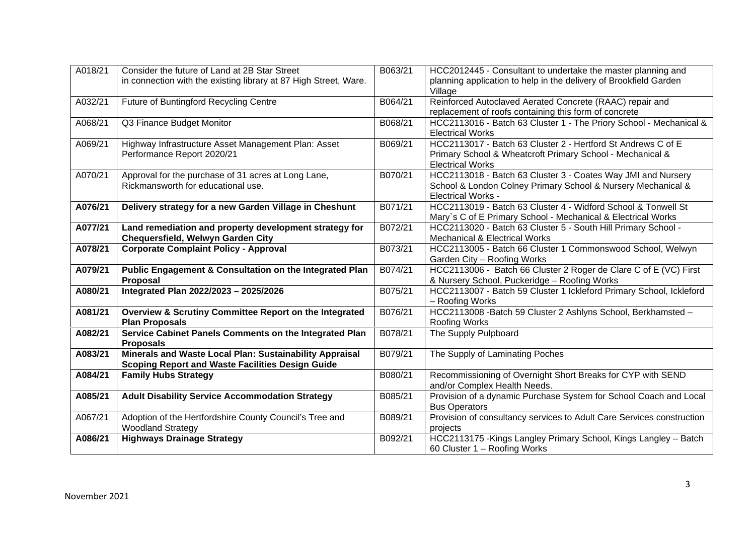| A018/21 | Consider the future of Land at 2B Star Street                                          | B063/21 | HCC2012445 - Consultant to undertake the master planning and          |
|---------|----------------------------------------------------------------------------------------|---------|-----------------------------------------------------------------------|
|         | in connection with the existing library at 87 High Street, Ware.                       |         | planning application to help in the delivery of Brookfield Garden     |
|         |                                                                                        |         | Village                                                               |
| A032/21 | Future of Buntingford Recycling Centre                                                 | B064/21 | Reinforced Autoclaved Aerated Concrete (RAAC) repair and              |
|         |                                                                                        |         | replacement of roofs containing this form of concrete                 |
| A068/21 | Q3 Finance Budget Monitor                                                              | B068/21 | HCC2113016 - Batch 63 Cluster 1 - The Priory School - Mechanical &    |
|         |                                                                                        |         | <b>Electrical Works</b>                                               |
| A069/21 | Highway Infrastructure Asset Management Plan: Asset                                    | B069/21 | HCC2113017 - Batch 63 Cluster 2 - Hertford St Andrews C of E          |
|         | Performance Report 2020/21                                                             |         | Primary School & Wheatcroft Primary School - Mechanical &             |
|         |                                                                                        |         | <b>Electrical Works</b>                                               |
| A070/21 | Approval for the purchase of 31 acres at Long Lane,                                    | B070/21 | HCC2113018 - Batch 63 Cluster 3 - Coates Way JMI and Nursery          |
|         | Rickmansworth for educational use.                                                     |         | School & London Colney Primary School & Nursery Mechanical &          |
|         |                                                                                        |         | <b>Electrical Works -</b>                                             |
| A076/21 | Delivery strategy for a new Garden Village in Cheshunt                                 | B071/21 | HCC2113019 - Batch 63 Cluster 4 - Widford School & Tonwell St         |
|         |                                                                                        |         | Mary's C of E Primary School - Mechanical & Electrical Works          |
| A077/21 | Land remediation and property development strategy for                                 | B072/21 | HCC2113020 - Batch 63 Cluster 5 - South Hill Primary School -         |
|         | Chequersfield, Welwyn Garden City                                                      |         | <b>Mechanical &amp; Electrical Works</b>                              |
| A078/21 | <b>Corporate Complaint Policy - Approval</b>                                           | B073/21 | HCC2113005 - Batch 66 Cluster 1 Commonswood School, Welwyn            |
|         |                                                                                        |         | Garden City - Roofing Works                                           |
| A079/21 | Public Engagement & Consultation on the Integrated Plan                                | B074/21 | HCC2113006 - Batch 66 Cluster 2 Roger de Clare C of E (VC) First      |
|         | Proposal                                                                               |         | & Nursery School, Puckeridge - Roofing Works                          |
| A080/21 | Integrated Plan 2022/2023 - 2025/2026                                                  | B075/21 | HCC2113007 - Batch 59 Cluster 1 Ickleford Primary School, Ickleford   |
|         |                                                                                        |         | - Roofing Works                                                       |
| A081/21 | Overview & Scrutiny Committee Report on the Integrated                                 | B076/21 | HCC2113008 - Batch 59 Cluster 2 Ashlyns School, Berkhamsted -         |
|         | <b>Plan Proposals</b>                                                                  |         | <b>Roofing Works</b>                                                  |
| A082/21 | Service Cabinet Panels Comments on the Integrated Plan                                 | B078/21 | The Supply Pulpboard                                                  |
|         | <b>Proposals</b><br>Minerals and Waste Local Plan: Sustainability Appraisal            | B079/21 |                                                                       |
| A083/21 |                                                                                        |         | The Supply of Laminating Poches                                       |
| A084/21 | <b>Scoping Report and Waste Facilities Design Guide</b><br><b>Family Hubs Strategy</b> | B080/21 | Recommissioning of Overnight Short Breaks for CYP with SEND           |
|         |                                                                                        |         | and/or Complex Health Needs.                                          |
| A085/21 | <b>Adult Disability Service Accommodation Strategy</b>                                 | B085/21 | Provision of a dynamic Purchase System for School Coach and Local     |
|         |                                                                                        |         | <b>Bus Operators</b>                                                  |
| A067/21 | Adoption of the Hertfordshire County Council's Tree and                                | B089/21 | Provision of consultancy services to Adult Care Services construction |
|         | <b>Woodland Strategy</b>                                                               |         | projects                                                              |
| A086/21 | <b>Highways Drainage Strategy</b>                                                      | B092/21 | HCC2113175 - Kings Langley Primary School, Kings Langley - Batch      |
|         |                                                                                        |         | 60 Cluster 1 - Roofing Works                                          |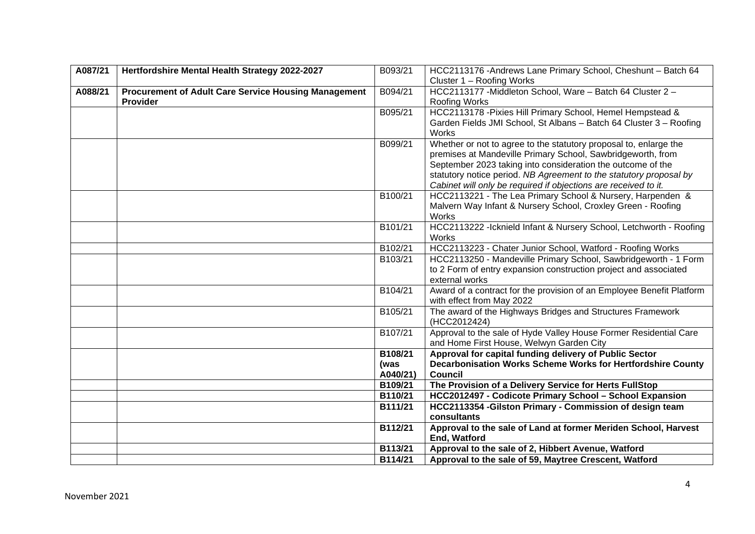| A087/21 | Hertfordshire Mental Health Strategy 2022-2027              | B093/21  | HCC2113176 - Andrews Lane Primary School, Cheshunt - Batch 64         |
|---------|-------------------------------------------------------------|----------|-----------------------------------------------------------------------|
|         |                                                             |          | Cluster 1 - Roofing Works                                             |
| A088/21 | <b>Procurement of Adult Care Service Housing Management</b> | B094/21  | HCC2113177 - Middleton School, Ware - Batch 64 Cluster 2 -            |
|         | <b>Provider</b>                                             |          | Roofing Works                                                         |
|         |                                                             | B095/21  | HCC2113178 - Pixies Hill Primary School, Hemel Hempstead &            |
|         |                                                             |          | Garden Fields JMI School, St Albans - Batch 64 Cluster 3 - Roofing    |
|         |                                                             |          | Works                                                                 |
|         |                                                             | B099/21  | Whether or not to agree to the statutory proposal to, enlarge the     |
|         |                                                             |          | premises at Mandeville Primary School, Sawbridgeworth, from           |
|         |                                                             |          | September 2023 taking into consideration the outcome of the           |
|         |                                                             |          | statutory notice period. NB Agreement to the statutory proposal by    |
|         |                                                             |          | Cabinet will only be required if objections are received to it.       |
|         |                                                             | B100/21  | HCC2113221 - The Lea Primary School & Nursery, Harpenden &            |
|         |                                                             |          | Malvern Way Infant & Nursery School, Croxley Green - Roofing<br>Works |
|         |                                                             | B101/21  | HCC2113222 - Icknield Infant & Nursery School, Letchworth - Roofing   |
|         |                                                             |          | Works                                                                 |
|         |                                                             | B102/21  | HCC2113223 - Chater Junior School, Watford - Roofing Works            |
|         |                                                             | B103/21  | HCC2113250 - Mandeville Primary School, Sawbridgeworth - 1 Form       |
|         |                                                             |          | to 2 Form of entry expansion construction project and associated      |
|         |                                                             |          | external works                                                        |
|         |                                                             | B104/21  | Award of a contract for the provision of an Employee Benefit Platform |
|         |                                                             |          | with effect from May 2022                                             |
|         |                                                             | B105/21  | The award of the Highways Bridges and Structures Framework            |
|         |                                                             |          | (HCC2012424)                                                          |
|         |                                                             | B107/21  | Approval to the sale of Hyde Valley House Former Residential Care     |
|         |                                                             |          | and Home First House, Welwyn Garden City                              |
|         |                                                             | B108/21  | Approval for capital funding delivery of Public Sector                |
|         |                                                             | (was     | Decarbonisation Works Scheme Works for Hertfordshire County           |
|         |                                                             | A040/21) | <b>Council</b>                                                        |
|         |                                                             | B109/21  | The Provision of a Delivery Service for Herts FullStop                |
|         |                                                             | B110/21  | HCC2012497 - Codicote Primary School - School Expansion               |
|         |                                                             | B111/21  | HCC2113354 - Gilston Primary - Commission of design team              |
|         |                                                             |          | consultants                                                           |
|         |                                                             | B112/21  | Approval to the sale of Land at former Meriden School, Harvest        |
|         |                                                             |          | End, Watford                                                          |
|         |                                                             | B113/21  | Approval to the sale of 2, Hibbert Avenue, Watford                    |
|         |                                                             | B114/21  | Approval to the sale of 59, Maytree Crescent, Watford                 |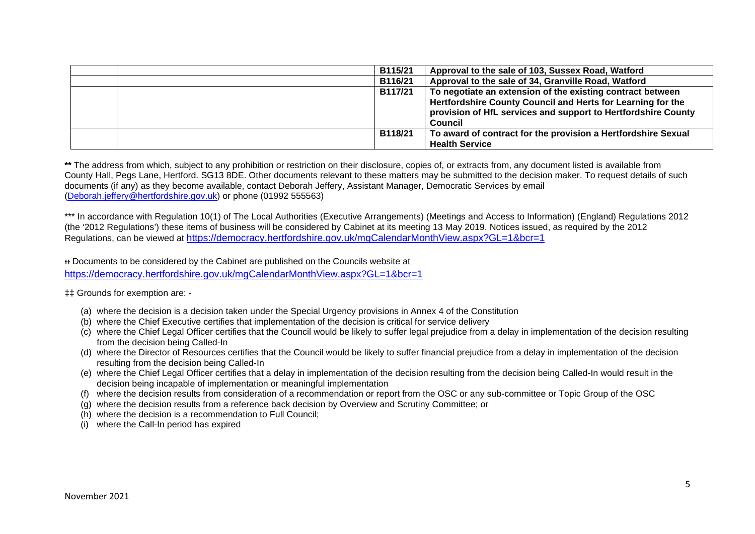| B115/21        | Approval to the sale of 103, Sussex Road, Watford                                                                                                                                                            |
|----------------|--------------------------------------------------------------------------------------------------------------------------------------------------------------------------------------------------------------|
| B116/21        | Approval to the sale of 34, Granville Road, Watford                                                                                                                                                          |
| <b>B117/21</b> | To negotiate an extension of the existing contract between<br>Hertfordshire County Council and Herts for Learning for the<br>provision of HfL services and support to Hertfordshire County<br><b>Council</b> |
| B118/21        | To award of contract for the provision a Hertfordshire Sexual<br><b>Health Service</b>                                                                                                                       |

**\*\*** The address from which, subject to any prohibition or restriction on their disclosure, copies of, or extracts from, any document listed is available from County Hall, Pegs Lane, Hertford. SG13 8DE. Other documents relevant to these matters may be submitted to the decision maker. To request details of such documents (if any) as they become available, contact Deborah Jeffery, Assistant Manager, Democratic Services by email [\(Deborah.jeffery@hertfordshire.gov.uk\)](mailto:Deborah.jeffery@hertfordshire.gov.uk) or phone (01992 555563)

\*\*\* In accordance with Regulation 10(1) of The Local Authorities (Executive Arrangements) (Meetings and Access to Information) (England) Regulations 2012 (the '2012 Regulations') these items of business will be considered by Cabinet at its meeting 13 May 2019. Notices issued, as required by the 2012 Regulations, can be viewed at <https://democracy.hertfordshire.gov.uk/mgCalendarMonthView.aspx?GL=1&bcr=1>

ᵻᵻ Documents to be considered by the Cabinet are published on the Councils website at <https://democracy.hertfordshire.gov.uk/mgCalendarMonthView.aspx?GL=1&bcr=1>

‡‡ Grounds for exemption are: -

- (a) where the decision is a decision taken under the Special Urgency provisions in Annex 4 of the Constitution
- (b) where the Chief Executive certifies that implementation of the decision is critical for service delivery
- (c) where the Chief Legal Officer certifies that the Council would be likely to suffer legal prejudice from a delay in implementation of the decision resulting from the decision being Called-In
- (d) where the Director of Resources certifies that the Council would be likely to suffer financial prejudice from a delay in implementation of the decision resulting from the decision being Called-In
- (e) where the Chief Legal Officer certifies that a delay in implementation of the decision resulting from the decision being Called-In would result in the decision being incapable of implementation or meaningful implementation
- (f) where the decision results from consideration of a recommendation or report from the OSC or any sub-committee or Topic Group of the OSC
- (g) where the decision results from a reference back decision by Overview and Scrutiny Committee; or
- (h) where the decision is a recommendation to Full Council;
- (i) where the Call-In period has expired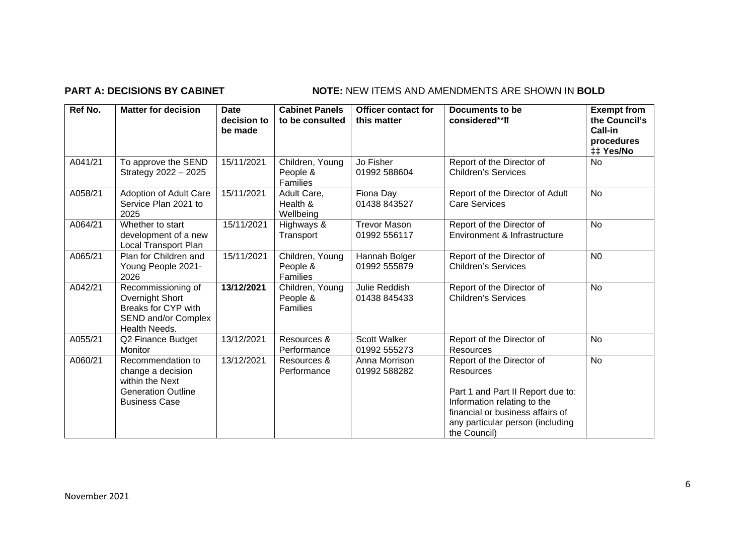## **PART A: DECISIONS BY CABINET NOTE:** NEW ITEMS AND AMENDMENTS ARE SHOWN IN BOLD

| Ref No. | <b>Matter for decision</b>                                                                                     | <b>Date</b><br>decision to<br>be made | <b>Cabinet Panels</b><br>to be consulted       | <b>Officer contact for</b><br>this matter | Documents to be<br>considered**ff                                                                                                                                                                  | <b>Exempt from</b><br>the Council's<br><b>Call-in</b><br>procedures<br>‡‡ Yes/No |
|---------|----------------------------------------------------------------------------------------------------------------|---------------------------------------|------------------------------------------------|-------------------------------------------|----------------------------------------------------------------------------------------------------------------------------------------------------------------------------------------------------|----------------------------------------------------------------------------------|
| A041/21 | To approve the SEND<br>Strategy 2022 - 2025                                                                    | 15/11/2021                            | Children, Young<br>People &<br>Families        | Jo Fisher<br>01992 588604                 | Report of the Director of<br><b>Children's Services</b>                                                                                                                                            | <b>No</b>                                                                        |
| A058/21 | Adoption of Adult Care<br>Service Plan 2021 to<br>2025                                                         | 15/11/2021                            | Adult Care,<br>Health &<br>Wellbeing           | Fiona Day<br>01438 843527                 | Report of the Director of Adult<br><b>Care Services</b>                                                                                                                                            | <b>No</b>                                                                        |
| A064/21 | Whether to start<br>development of a new<br><b>Local Transport Plan</b>                                        | 15/11/2021                            | Highways &<br>Transport                        | <b>Trevor Mason</b><br>01992 556117       | Report of the Director of<br>Environment & Infrastructure                                                                                                                                          | <b>No</b>                                                                        |
| A065/21 | Plan for Children and<br>Young People 2021-<br>2026                                                            | 15/11/2021                            | Children, Young<br>People &<br>Families        | Hannah Bolger<br>01992 555879             | Report of the Director of<br><b>Children's Services</b>                                                                                                                                            | N <sub>0</sub>                                                                   |
| A042/21 | Recommissioning of<br>Overnight Short<br>Breaks for CYP with<br>SEND and/or Complex<br>Health Needs.           | 13/12/2021                            | Children, Young<br>People &<br><b>Families</b> | Julie Reddish<br>01438 845433             | Report of the Director of<br><b>Children's Services</b>                                                                                                                                            | No                                                                               |
| A055/21 | Q2 Finance Budget<br>Monitor                                                                                   | 13/12/2021                            | Resources &<br>Performance                     | <b>Scott Walker</b><br>01992 555273       | Report of the Director of<br><b>Resources</b>                                                                                                                                                      | <b>No</b>                                                                        |
| A060/21 | Recommendation to<br>change a decision<br>within the Next<br><b>Generation Outline</b><br><b>Business Case</b> | 13/12/2021                            | Resources &<br>Performance                     | Anna Morrison<br>01992 588282             | Report of the Director of<br>Resources<br>Part 1 and Part II Report due to:<br>Information relating to the<br>financial or business affairs of<br>any particular person (including<br>the Council) | <b>No</b>                                                                        |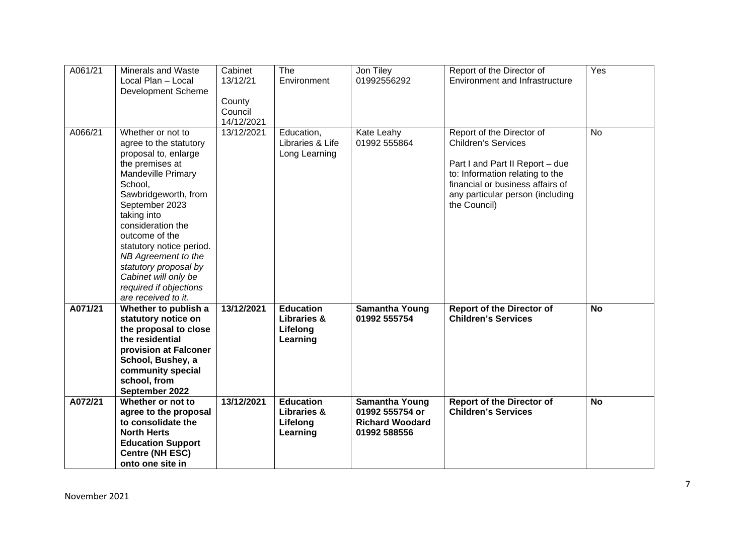| A061/21 | Minerals and Waste<br>Local Plan - Local<br>Development Scheme                                                                                                                                                                                                                                                                                                                      | Cabinet<br>13/12/21<br>County<br>Council<br>14/12/2021 | The<br>Environment                                                 | Jon Tiley<br>01992556292                                                           | Report of the Director of<br><b>Environment and Infrastructure</b>                                                                                                                                                    | Yes       |
|---------|-------------------------------------------------------------------------------------------------------------------------------------------------------------------------------------------------------------------------------------------------------------------------------------------------------------------------------------------------------------------------------------|--------------------------------------------------------|--------------------------------------------------------------------|------------------------------------------------------------------------------------|-----------------------------------------------------------------------------------------------------------------------------------------------------------------------------------------------------------------------|-----------|
| A066/21 | Whether or not to<br>agree to the statutory<br>proposal to, enlarge<br>the premises at<br><b>Mandeville Primary</b><br>School,<br>Sawbridgeworth, from<br>September 2023<br>taking into<br>consideration the<br>outcome of the<br>statutory notice period.<br>NB Agreement to the<br>statutory proposal by<br>Cabinet will only be<br>required if objections<br>are received to it. | 13/12/2021                                             | Education,<br>Libraries & Life<br>Long Learning                    | Kate Leahy<br>01992 555864                                                         | Report of the Director of<br><b>Children's Services</b><br>Part I and Part II Report - due<br>to: Information relating to the<br>financial or business affairs of<br>any particular person (including<br>the Council) | <b>No</b> |
| A071/21 | Whether to publish a<br>statutory notice on<br>the proposal to close<br>the residential<br>provision at Falconer<br>School, Bushey, a<br>community special<br>school, from<br>September 2022                                                                                                                                                                                        | 13/12/2021                                             | <b>Education</b><br><b>Libraries &amp;</b><br>Lifelong<br>Learning | <b>Samantha Young</b><br>01992 555754                                              | <b>Report of the Director of</b><br><b>Children's Services</b>                                                                                                                                                        | <b>No</b> |
| A072/21 | Whether or not to<br>agree to the proposal<br>to consolidate the<br><b>North Herts</b><br><b>Education Support</b><br><b>Centre (NH ESC)</b><br>onto one site in                                                                                                                                                                                                                    | 13/12/2021                                             | <b>Education</b><br><b>Libraries &amp;</b><br>Lifelong<br>Learning | <b>Samantha Young</b><br>01992 555754 or<br><b>Richard Woodard</b><br>01992 588556 | <b>Report of the Director of</b><br><b>Children's Services</b>                                                                                                                                                        | <b>No</b> |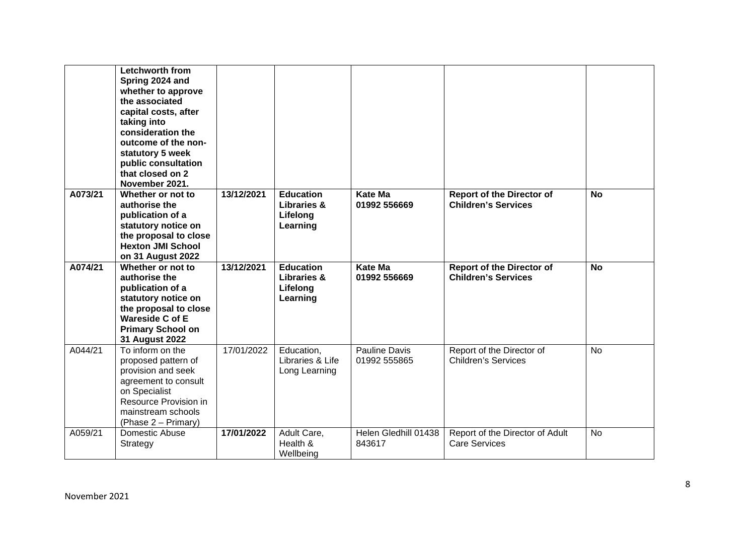|         | Letchworth from<br>Spring 2024 and<br>whether to approve<br>the associated<br>capital costs, after<br>taking into<br>consideration the<br>outcome of the non-<br>statutory 5 week<br>public consultation<br>that closed on 2<br>November 2021. |            |                                                                    |                                |                                                                |           |
|---------|------------------------------------------------------------------------------------------------------------------------------------------------------------------------------------------------------------------------------------------------|------------|--------------------------------------------------------------------|--------------------------------|----------------------------------------------------------------|-----------|
| A073/21 | Whether or not to<br>authorise the<br>publication of a<br>statutory notice on<br>the proposal to close<br><b>Hexton JMI School</b><br>on 31 August 2022                                                                                        | 13/12/2021 | <b>Education</b><br>Libraries &<br>Lifelong<br>Learning            | <b>Kate Ma</b><br>01992 556669 | <b>Report of the Director of</b><br><b>Children's Services</b> | <b>No</b> |
| A074/21 | Whether or not to<br>authorise the<br>publication of a<br>statutory notice on<br>the proposal to close<br><b>Wareside C of E</b><br><b>Primary School on</b><br>31 August 2022                                                                 | 13/12/2021 | <b>Education</b><br><b>Libraries &amp;</b><br>Lifelong<br>Learning | <b>Kate Ma</b><br>01992 556669 | <b>Report of the Director of</b><br><b>Children's Services</b> | <b>No</b> |
| A044/21 | To inform on the<br>proposed pattern of<br>provision and seek<br>agreement to consult<br>on Specialist<br>Resource Provision in<br>mainstream schools<br>(Phase 2 – Primary)                                                                   | 17/01/2022 | Education,<br>Libraries & Life<br>Long Learning                    | Pauline Davis<br>01992 555865  | Report of the Director of<br>Children's Services               | <b>No</b> |
| A059/21 | Domestic Abuse<br>Strategy                                                                                                                                                                                                                     | 17/01/2022 | Adult Care,<br>Health &<br>Wellbeing                               | Helen Gledhill 01438<br>843617 | Report of the Director of Adult<br><b>Care Services</b>        | <b>No</b> |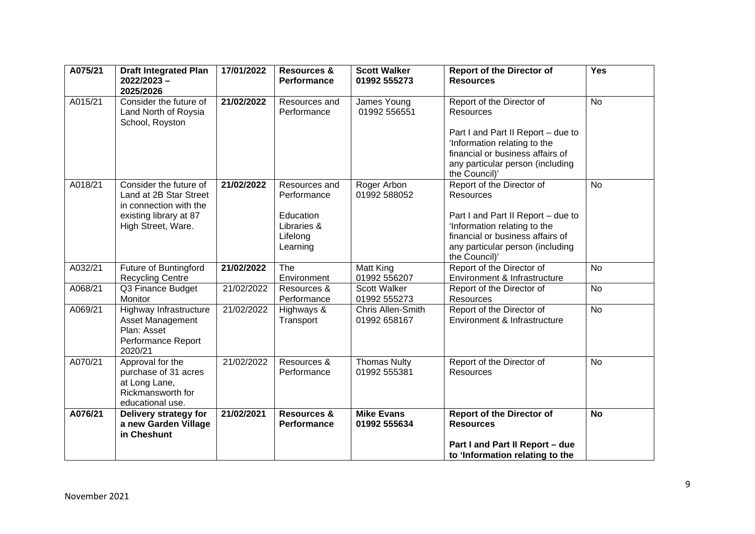| A075/21 | <b>Draft Integrated Plan</b><br>2022/2023-<br>2025/2026                                                                    | 17/01/2022 | <b>Resources &amp;</b><br>Performance                                            | <b>Scott Walker</b><br>01992 555273 | <b>Report of the Director of</b><br><b>Resources</b>                                                                                                                                                         | Yes       |
|---------|----------------------------------------------------------------------------------------------------------------------------|------------|----------------------------------------------------------------------------------|-------------------------------------|--------------------------------------------------------------------------------------------------------------------------------------------------------------------------------------------------------------|-----------|
| A015/21 | Consider the future of<br>Land North of Roysia<br>School, Royston                                                          | 21/02/2022 | Resources and<br>Performance                                                     | James Young<br>01992 556551         | Report of the Director of<br>Resources<br>Part I and Part II Report - due to<br>'Information relating to the<br>financial or business affairs of<br>any particular person (including<br>the Council)'        | <b>No</b> |
| A018/21 | Consider the future of<br>Land at 2B Star Street<br>in connection with the<br>existing library at 87<br>High Street, Ware. | 21/02/2022 | Resources and<br>Performance<br>Education<br>Libraries &<br>Lifelong<br>Learning | Roger Arbon<br>01992 588052         | Report of the Director of<br><b>Resources</b><br>Part I and Part II Report - due to<br>'Information relating to the<br>financial or business affairs of<br>any particular person (including<br>the Council)' | <b>No</b> |
| A032/21 | Future of Buntingford<br><b>Recycling Centre</b>                                                                           | 21/02/2022 | The<br>Environment                                                               | Matt King<br>01992 556207           | Report of the Director of<br>Environment & Infrastructure                                                                                                                                                    | <b>No</b> |
| A068/21 | Q3 Finance Budget<br>Monitor                                                                                               | 21/02/2022 | Resources &<br>Performance                                                       | Scott Walker<br>01992 555273        | Report of the Director of<br><b>Resources</b>                                                                                                                                                                | <b>No</b> |
| A069/21 | Highway Infrastructure<br>Asset Management<br>Plan: Asset<br>Performance Report<br>2020/21                                 | 21/02/2022 | Highways &<br>Transport                                                          | Chris Allen-Smith<br>01992 658167   | Report of the Director of<br>Environment & Infrastructure                                                                                                                                                    | <b>No</b> |
| A070/21 | Approval for the<br>purchase of 31 acres<br>at Long Lane,<br>Rickmansworth for<br>educational use.                         | 21/02/2022 | Resources &<br>Performance                                                       | <b>Thomas Nulty</b><br>01992 555381 | Report of the Director of<br>Resources                                                                                                                                                                       | <b>No</b> |
| A076/21 | Delivery strategy for<br>a new Garden Village<br>in Cheshunt                                                               | 21/02/2021 | <b>Resources &amp;</b><br>Performance                                            | <b>Mike Evans</b><br>01992 555634   | <b>Report of the Director of</b><br><b>Resources</b><br>Part I and Part II Report - due<br>to 'Information relating to the                                                                                   | <b>No</b> |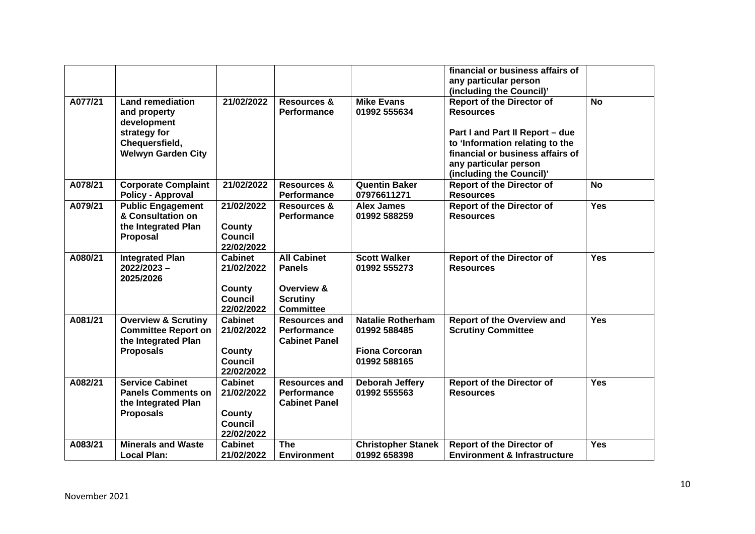|         |                                                                                                                       |                                                                        |                                                                                          |                                                                                   | financial or business affairs of<br>any particular person<br>(including the Council)'                                                                                                                               |            |
|---------|-----------------------------------------------------------------------------------------------------------------------|------------------------------------------------------------------------|------------------------------------------------------------------------------------------|-----------------------------------------------------------------------------------|---------------------------------------------------------------------------------------------------------------------------------------------------------------------------------------------------------------------|------------|
| A077/21 | <b>Land remediation</b><br>and property<br>development<br>strategy for<br>Chequersfield,<br><b>Welwyn Garden City</b> | 21/02/2022                                                             | <b>Resources &amp;</b><br>Performance                                                    | <b>Mike Evans</b><br>01992 555634                                                 | <b>Report of the Director of</b><br><b>Resources</b><br>Part I and Part II Report - due<br>to 'Information relating to the<br>financial or business affairs of<br>any particular person<br>(including the Council)' | <b>No</b>  |
| A078/21 | <b>Corporate Complaint</b><br><b>Policy - Approval</b>                                                                | 21/02/2022                                                             | <b>Resources &amp;</b><br>Performance                                                    | <b>Quentin Baker</b><br>07976611271                                               | <b>Report of the Director of</b><br><b>Resources</b>                                                                                                                                                                | <b>No</b>  |
| A079/21 | <b>Public Engagement</b><br>& Consultation on<br>the Integrated Plan<br>Proposal                                      | 21/02/2022<br>County<br><b>Council</b><br>22/02/2022                   | Resources &<br><b>Performance</b>                                                        | Alex James<br>01992 588259                                                        | <b>Report of the Director of</b><br><b>Resources</b>                                                                                                                                                                | <b>Yes</b> |
| A080/21 | <b>Integrated Plan</b><br>2022/2023-<br>2025/2026                                                                     | <b>Cabinet</b><br>21/02/2022<br>County<br><b>Council</b><br>22/02/2022 | <b>All Cabinet</b><br><b>Panels</b><br>Overview &<br><b>Scrutiny</b><br><b>Committee</b> | <b>Scott Walker</b><br>01992 555273                                               | <b>Report of the Director of</b><br><b>Resources</b>                                                                                                                                                                | <b>Yes</b> |
| A081/21 | <b>Overview &amp; Scrutiny</b><br><b>Committee Report on</b><br>the Integrated Plan<br><b>Proposals</b>               | <b>Cabinet</b><br>21/02/2022<br>County<br><b>Council</b><br>22/02/2022 | <b>Resources and</b><br><b>Performance</b><br><b>Cabinet Panel</b>                       | <b>Natalie Rotherham</b><br>01992 588485<br><b>Fiona Corcoran</b><br>01992 588165 | <b>Report of the Overview and</b><br><b>Scrutiny Committee</b>                                                                                                                                                      | <b>Yes</b> |
| A082/21 | <b>Service Cabinet</b><br><b>Panels Comments on</b><br>the Integrated Plan<br><b>Proposals</b>                        | <b>Cabinet</b><br>21/02/2022<br>County<br><b>Council</b><br>22/02/2022 | <b>Resources and</b><br><b>Performance</b><br><b>Cabinet Panel</b>                       | Deborah Jeffery<br>01992 555563                                                   | <b>Report of the Director of</b><br><b>Resources</b>                                                                                                                                                                | <b>Yes</b> |
| A083/21 | <b>Minerals and Waste</b><br><b>Local Plan:</b>                                                                       | <b>Cabinet</b><br>21/02/2022                                           | <b>The</b><br><b>Environment</b>                                                         | <b>Christopher Stanek</b><br>01992 658398                                         | <b>Report of the Director of</b><br><b>Environment &amp; Infrastructure</b>                                                                                                                                         | <b>Yes</b> |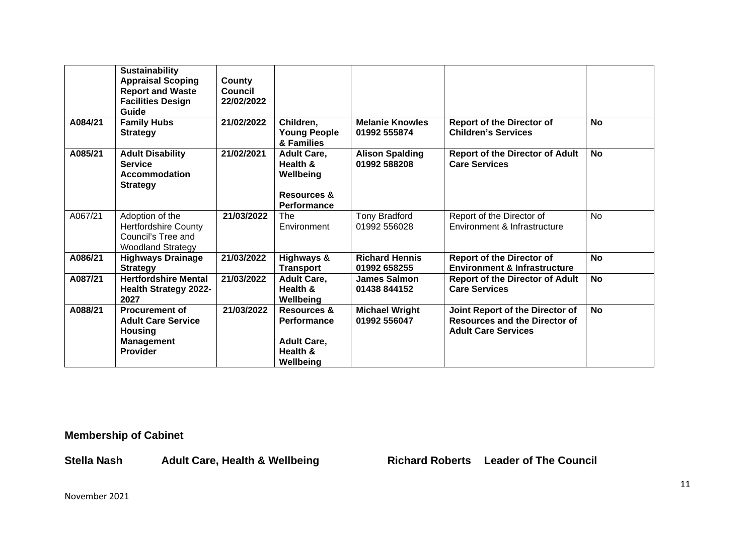|         | <b>Sustainability</b><br><b>Appraisal Scoping</b><br><b>Report and Waste</b><br><b>Facilities Design</b><br>Guide | County<br><b>Council</b><br>22/02/2022 |                                                                                      |                                        |                                                                                                       |           |
|---------|-------------------------------------------------------------------------------------------------------------------|----------------------------------------|--------------------------------------------------------------------------------------|----------------------------------------|-------------------------------------------------------------------------------------------------------|-----------|
| A084/21 | <b>Family Hubs</b><br><b>Strategy</b>                                                                             | 21/02/2022                             | Children,<br><b>Young People</b><br>& Families                                       | <b>Melanie Knowles</b><br>01992 555874 | <b>Report of the Director of</b><br><b>Children's Services</b>                                        | <b>No</b> |
| A085/21 | <b>Adult Disability</b><br><b>Service</b><br>Accommodation<br><b>Strategy</b>                                     | 21/02/2021                             | <b>Adult Care,</b><br>Health &<br>Wellbeing<br><b>Resources &amp;</b><br>Performance | <b>Alison Spalding</b><br>01992 588208 | <b>Report of the Director of Adult</b><br><b>Care Services</b>                                        | <b>No</b> |
| A067/21 | Adoption of the<br><b>Hertfordshire County</b><br>Council's Tree and<br><b>Woodland Strategy</b>                  | 21/03/2022                             | The<br>Environment                                                                   | <b>Tony Bradford</b><br>01992 556028   | Report of the Director of<br>Environment & Infrastructure                                             | <b>No</b> |
| A086/21 | <b>Highways Drainage</b><br><b>Strategy</b>                                                                       | 21/03/2022                             | <b>Highways &amp;</b><br><b>Transport</b>                                            | <b>Richard Hennis</b><br>01992 658255  | <b>Report of the Director of</b><br><b>Environment &amp; Infrastructure</b>                           | <b>No</b> |
| A087/21 | <b>Hertfordshire Mental</b><br><b>Health Strategy 2022-</b><br>2027                                               | 21/03/2022                             | <b>Adult Care,</b><br>Health &<br>Wellbeing                                          | James Salmon<br>01438 844152           | <b>Report of the Director of Adult</b><br><b>Care Services</b>                                        | <b>No</b> |
| A088/21 | <b>Procurement of</b><br><b>Adult Care Service</b><br><b>Housing</b><br><b>Management</b><br><b>Provider</b>      | 21/03/2022                             | Resources &<br><b>Performance</b><br><b>Adult Care,</b><br>Health &<br>Wellbeing     | <b>Michael Wright</b><br>01992 556047  | Joint Report of the Director of<br><b>Resources and the Director of</b><br><b>Adult Care Services</b> | <b>No</b> |

**Membership of Cabinet** 

Stella Nash Adult Care, Health & Wellbeing **Richard Roberts** Leader of The Council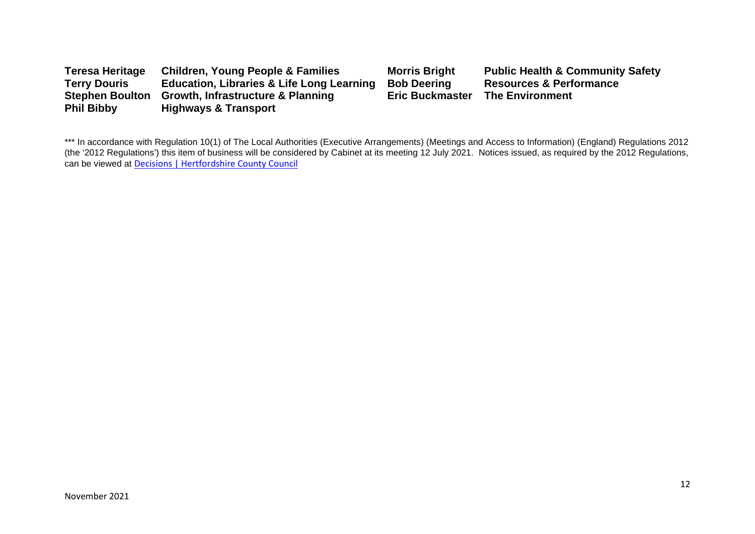| <b>Teresa Heritage</b> | <b>Children, Young People &amp; Families</b>         | <b>Morris Bright</b>   | <b>Public Health &amp; Community Safety</b> |
|------------------------|------------------------------------------------------|------------------------|---------------------------------------------|
| <b>Terry Douris</b>    | <b>Education, Libraries &amp; Life Long Learning</b> | <b>Bob Deering</b>     | <b>Resources &amp; Performance</b>          |
| <b>Stephen Boulton</b> | <b>Growth, Infrastructure &amp; Planning</b>         | <b>Eric Buckmaster</b> | <b>The Environment</b>                      |
| <b>Phil Bibby</b>      | <b>Highways &amp; Transport</b>                      |                        |                                             |

\*\*\* In accordance with Regulation 10(1) of The Local Authorities (Executive Arrangements) (Meetings and Access to Information) (England) Regulations 2012 (the '2012 Regulations') this item of business will be considered by Cabinet at its meeting 12 July 2021. Notices issued, as required by the 2012 Regulations, can be viewed at [Decisions | Hertfordshire County Council](https://www.hertfordshire.gov.uk/About-the-council/freedom-of-information-and-council-data/Open-Data-Statistics-about-Hertfordshire/How-we-make-decisions/Decisions/Decisions.aspx#keydecisions)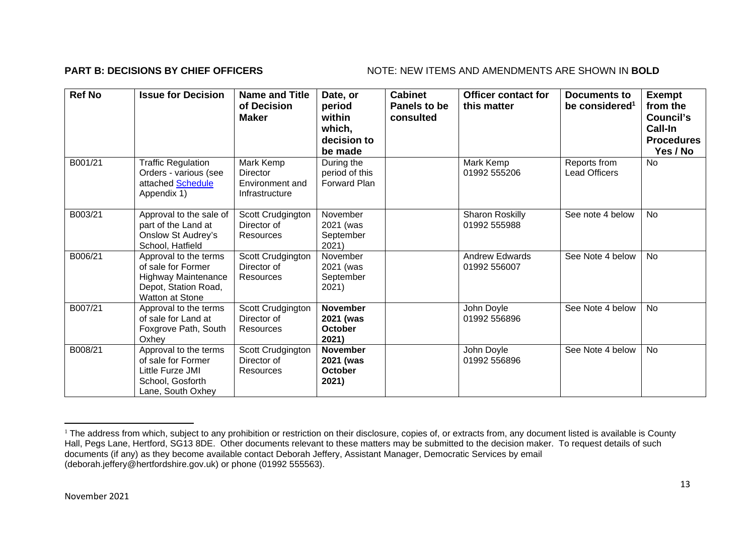## **PART B: DECISIONS BY CHIEF OFFICERS** NOTE: NEW ITEMS AND AMENDMENTS ARE SHOWN IN BOLD

| <b>Ref No</b> | <b>Issue for Decision</b>                                                                                            | <b>Name and Title</b><br>of Decision<br><b>Maker</b>       | Date, or<br>period<br>within<br>which,<br>decision to<br>be made | <b>Cabinet</b><br>Panels to be<br>consulted | <b>Officer contact for</b><br>this matter | Documents to<br>be considered <sup>1</sup> | <b>Exempt</b><br>from the<br>Council's<br>Call-In<br><b>Procedures</b><br>Yes / No |
|---------------|----------------------------------------------------------------------------------------------------------------------|------------------------------------------------------------|------------------------------------------------------------------|---------------------------------------------|-------------------------------------------|--------------------------------------------|------------------------------------------------------------------------------------|
| B001/21       | <b>Traffic Regulation</b><br>Orders - various (see<br>attached Schedule<br>Appendix 1)                               | Mark Kemp<br>Director<br>Environment and<br>Infrastructure | During the<br>period of this<br>Forward Plan                     |                                             | Mark Kemp<br>01992 555206                 | Reports from<br><b>Lead Officers</b>       | <b>No</b>                                                                          |
| B003/21       | Approval to the sale of<br>part of the Land at<br>Onslow St Audrey's<br>School, Hatfield                             | Scott Crudgington<br>Director of<br>Resources              | November<br>2021 (was<br>September<br>2021)                      |                                             | Sharon Roskilly<br>01992 555988           | See note 4 below                           | <b>No</b>                                                                          |
| B006/21       | Approval to the terms<br>of sale for Former<br><b>Highway Maintenance</b><br>Depot, Station Road,<br>Watton at Stone | Scott Crudgington<br>Director of<br>Resources              | November<br>2021 (was<br>September<br>2021)                      |                                             | <b>Andrew Edwards</b><br>01992 556007     | See Note 4 below                           | <b>No</b>                                                                          |
| B007/21       | Approval to the terms<br>of sale for Land at<br>Foxgrove Path, South<br>Oxhey                                        | Scott Crudgington<br>Director of<br>Resources              | <b>November</b><br>2021 (was<br><b>October</b><br>2021)          |                                             | John Doyle<br>01992 556896                | See Note 4 below                           | No                                                                                 |
| B008/21       | Approval to the terms<br>of sale for Former<br>Little Furze JMI<br>School, Gosforth<br>Lane, South Oxhey             | Scott Crudgington<br>Director of<br>Resources              | <b>November</b><br>2021 (was<br><b>October</b><br>2021)          |                                             | John Doyle<br>01992 556896                | See Note 4 below                           | No                                                                                 |

<sup>&</sup>lt;sup>1</sup> The address from which, subject to any prohibition or restriction on their disclosure, copies of, or extracts from, any document listed is available is County Hall, Pegs Lane, Hertford, SG13 8DE. Other documents relevant to these matters may be submitted to the decision maker. To request details of such documents (if any) as they become available contact Deborah Jeffery, Assistant Manager, Democratic Services by email (deborah.jeffery@hertfordshire.gov.uk) or phone (01992 555563).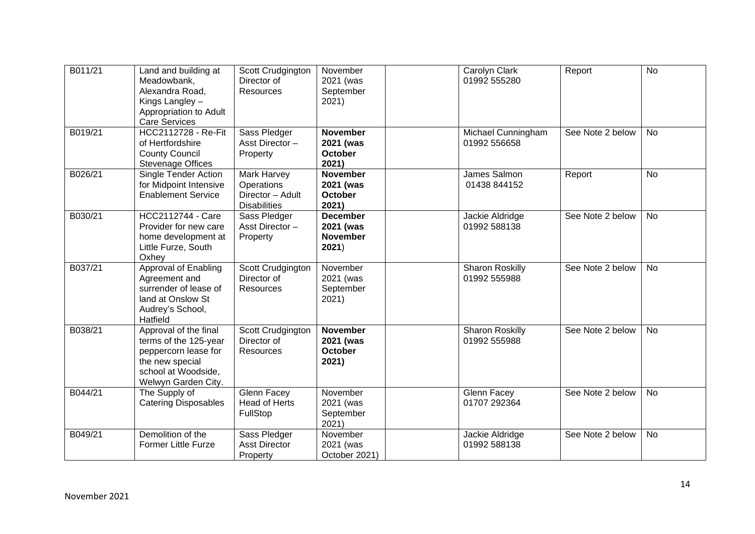| B011/21 | Land and building at<br>Meadowbank,<br>Alexandra Road,<br>Kings Langley -<br>Appropriation to Adult<br><b>Care Services</b>             | Scott Crudgington<br>Director of<br><b>Resources</b>                 | November<br>2021 (was<br>September<br>2021)              | Carolyn Clark<br>01992 555280          | Report           | <b>No</b> |
|---------|-----------------------------------------------------------------------------------------------------------------------------------------|----------------------------------------------------------------------|----------------------------------------------------------|----------------------------------------|------------------|-----------|
| B019/21 | <b>HCC2112728 - Re-Fit</b><br>of Hertfordshire<br><b>County Council</b><br><b>Stevenage Offices</b>                                     | Sass Pledger<br>Asst Director-<br>Property                           | <b>November</b><br>2021 (was<br><b>October</b><br>2021)  | Michael Cunningham<br>01992 556658     | See Note 2 below | <b>No</b> |
| B026/21 | Single Tender Action<br>for Midpoint Intensive<br><b>Enablement Service</b>                                                             | Mark Harvey<br>Operations<br>Director - Adult<br><b>Disabilities</b> | <b>November</b><br>2021 (was<br>October<br>2021)         | James Salmon<br>01438 844152           | Report           | <b>No</b> |
| B030/21 | <b>HCC2112744 - Care</b><br>Provider for new care<br>home development at<br>Little Furze, South<br>Oxhey                                | Sass Pledger<br>Asst Director-<br>Property                           | <b>December</b><br>2021 (was<br><b>November</b><br>2021) | Jackie Aldridge<br>01992 588138        | See Note 2 below | <b>No</b> |
| B037/21 | <b>Approval of Enabling</b><br>Agreement and<br>surrender of lease of<br>land at Onslow St<br>Audrey's School,<br>Hatfield              | Scott Crudgington<br>Director of<br><b>Resources</b>                 | November<br>2021 (was<br>September<br>2021)              | Sharon Roskilly<br>01992 555988        | See Note 2 below | <b>No</b> |
| B038/21 | Approval of the final<br>terms of the 125-year<br>peppercorn lease for<br>the new special<br>school at Woodside,<br>Welwyn Garden City. | Scott Crudgington<br>Director of<br><b>Resources</b>                 | <b>November</b><br>2021 (was<br><b>October</b><br>2021)  | <b>Sharon Roskilly</b><br>01992 555988 | See Note 2 below | <b>No</b> |
| B044/21 | The Supply of<br><b>Catering Disposables</b>                                                                                            | Glenn Facey<br><b>Head of Herts</b><br>FullStop                      | November<br>2021 (was<br>September<br>2021)              | Glenn Facey<br>01707 292364            | See Note 2 below | <b>No</b> |
| B049/21 | Demolition of the<br><b>Former Little Furze</b>                                                                                         | Sass Pledger<br><b>Asst Director</b><br>Property                     | November<br>2021 (was<br>October 2021)                   | Jackie Aldridge<br>01992 588138        | See Note 2 below | <b>No</b> |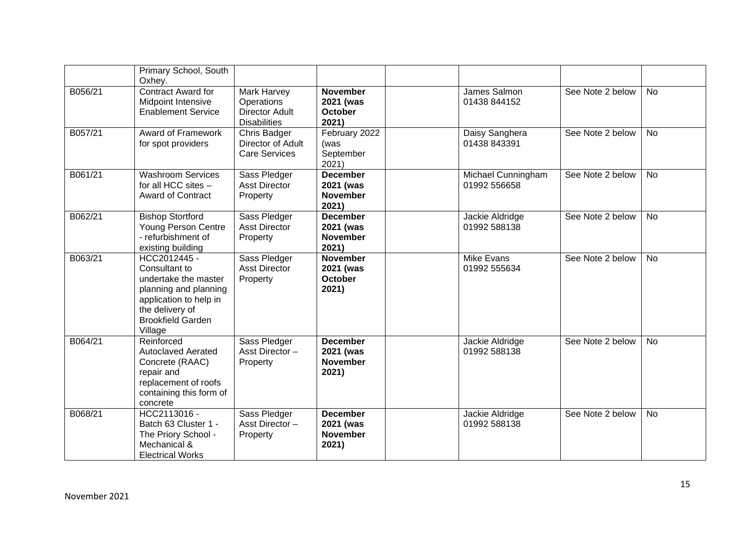|         | Primary School, South<br>Oxhey.                                                                                                                                    |                                                                                  |                                                          |                                    |                  |           |
|---------|--------------------------------------------------------------------------------------------------------------------------------------------------------------------|----------------------------------------------------------------------------------|----------------------------------------------------------|------------------------------------|------------------|-----------|
| B056/21 | <b>Contract Award for</b><br>Midpoint Intensive<br><b>Enablement Service</b>                                                                                       | <b>Mark Harvey</b><br>Operations<br><b>Director Adult</b><br><b>Disabilities</b> | <b>November</b><br>2021 (was<br><b>October</b><br>2021)  | James Salmon<br>01438 844152       | See Note 2 below | <b>No</b> |
| B057/21 | Award of Framework<br>for spot providers                                                                                                                           | <b>Chris Badger</b><br>Director of Adult<br><b>Care Services</b>                 | February 2022<br>(was<br>September<br>2021)              | Daisy Sanghera<br>01438 843391     | See Note 2 below | <b>No</b> |
| B061/21 | <b>Washroom Services</b><br>for all HCC sites -<br><b>Award of Contract</b>                                                                                        | Sass Pledger<br><b>Asst Director</b><br>Property                                 | <b>December</b><br>2021 (was<br><b>November</b><br>2021) | Michael Cunningham<br>01992 556658 | See Note 2 below | <b>No</b> |
| B062/21 | <b>Bishop Stortford</b><br>Young Person Centre<br>- refurbishment of<br>existing building                                                                          | Sass Pledger<br><b>Asst Director</b><br>Property                                 | <b>December</b><br>2021 (was<br><b>November</b><br>2021) | Jackie Aldridge<br>01992 588138    | See Note 2 below | <b>No</b> |
| B063/21 | HCC2012445 -<br>Consultant to<br>undertake the master<br>planning and planning<br>application to help in<br>the delivery of<br><b>Brookfield Garden</b><br>Village | Sass Pledger<br><b>Asst Director</b><br>Property                                 | <b>November</b><br>2021 (was<br><b>October</b><br>2021)  | <b>Mike Evans</b><br>01992 555634  | See Note 2 below | <b>No</b> |
| B064/21 | Reinforced<br><b>Autoclaved Aerated</b><br>Concrete (RAAC)<br>repair and<br>replacement of roofs<br>containing this form of<br>concrete                            | Sass Pledger<br>Asst Director-<br>Property                                       | <b>December</b><br>2021 (was<br><b>November</b><br>2021) | Jackie Aldridge<br>01992 588138    | See Note 2 below | <b>No</b> |
| B068/21 | HCC2113016 -<br>Batch 63 Cluster 1 -<br>The Priory School -<br>Mechanical &<br><b>Electrical Works</b>                                                             | Sass Pledger<br>Asst Director-<br>Property                                       | <b>December</b><br>2021 (was<br><b>November</b><br>2021) | Jackie Aldridge<br>01992 588138    | See Note 2 below | <b>No</b> |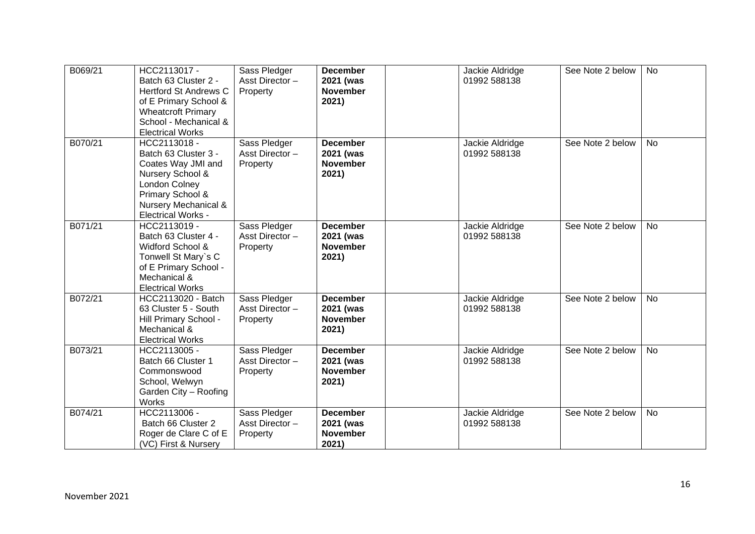| B069/21 | HCC2113017 -<br>Batch 63 Cluster 2 -<br><b>Hertford St Andrews C</b><br>of E Primary School &<br><b>Wheatcroft Primary</b><br>School - Mechanical &<br><b>Electrical Works</b>  | Sass Pledger<br>Asst Director-<br>Property | <b>December</b><br>2021 (was<br><b>November</b><br>2021) | Jackie Aldridge<br>01992 588138 | See Note 2 below | <b>No</b> |
|---------|---------------------------------------------------------------------------------------------------------------------------------------------------------------------------------|--------------------------------------------|----------------------------------------------------------|---------------------------------|------------------|-----------|
| B070/21 | HCC2113018 -<br>Batch 63 Cluster 3 -<br>Coates Way JMI and<br>Nursery School &<br><b>London Colney</b><br>Primary School &<br>Nursery Mechanical &<br><b>Electrical Works -</b> | Sass Pledger<br>Asst Director-<br>Property | <b>December</b><br>2021 (was<br><b>November</b><br>2021) | Jackie Aldridge<br>01992 588138 | See Note 2 below | No        |
| B071/21 | HCC2113019 -<br>Batch 63 Cluster 4 -<br>Widford School &<br>Tonwell St Mary's C<br>of E Primary School -<br>Mechanical &<br><b>Electrical Works</b>                             | Sass Pledger<br>Asst Director-<br>Property | <b>December</b><br>2021 (was<br><b>November</b><br>2021) | Jackie Aldridge<br>01992 588138 | See Note 2 below | <b>No</b> |
| B072/21 | HCC2113020 - Batch<br>63 Cluster 5 - South<br>Hill Primary School -<br>Mechanical &<br><b>Electrical Works</b>                                                                  | Sass Pledger<br>Asst Director-<br>Property | <b>December</b><br>2021 (was<br><b>November</b><br>2021) | Jackie Aldridge<br>01992 588138 | See Note 2 below | <b>No</b> |
| B073/21 | HCC2113005 -<br>Batch 66 Cluster 1<br>Commonswood<br>School, Welwyn<br>Garden City - Roofing<br>Works                                                                           | Sass Pledger<br>Asst Director-<br>Property | <b>December</b><br>2021 (was<br><b>November</b><br>2021) | Jackie Aldridge<br>01992 588138 | See Note 2 below | <b>No</b> |
| B074/21 | HCC2113006 -<br>Batch 66 Cluster 2<br>Roger de Clare C of E<br>(VC) First & Nursery                                                                                             | Sass Pledger<br>Asst Director-<br>Property | <b>December</b><br>2021 (was<br><b>November</b><br>2021) | Jackie Aldridge<br>01992 588138 | See Note 2 below | No        |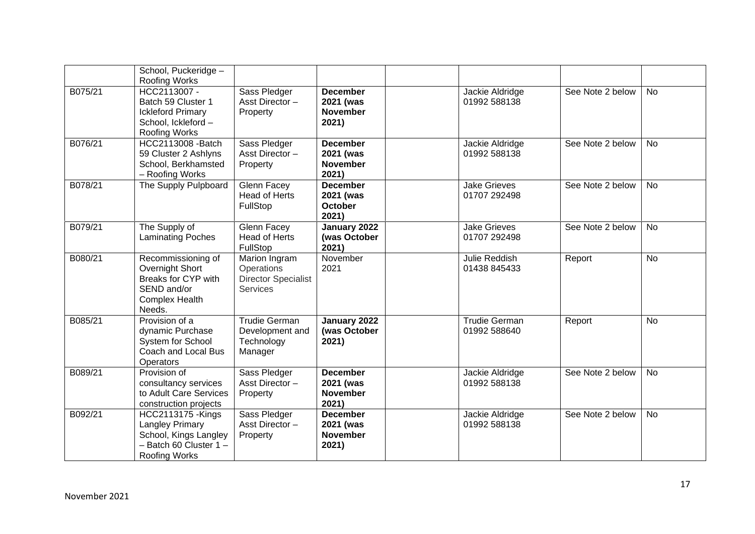|         | School, Puckeridge -<br>Roofing Works                                                                                         |                                                                              |                                                          |                                      |                  |           |
|---------|-------------------------------------------------------------------------------------------------------------------------------|------------------------------------------------------------------------------|----------------------------------------------------------|--------------------------------------|------------------|-----------|
| B075/21 | HCC2113007 -<br>Batch 59 Cluster 1<br><b>Ickleford Primary</b><br>School, Ickleford -<br>Roofing Works                        | Sass Pledger<br>Asst Director-<br>Property                                   | <b>December</b><br>2021 (was<br><b>November</b><br>2021) | Jackie Aldridge<br>01992 588138      | See Note 2 below | <b>No</b> |
| B076/21 | HCC2113008 - Batch<br>59 Cluster 2 Ashlyns<br>School, Berkhamsted<br>- Roofing Works                                          | Sass Pledger<br>Asst Director-<br>Property                                   | <b>December</b><br>2021 (was<br><b>November</b><br>2021) | Jackie Aldridge<br>01992 588138      | See Note 2 below | <b>No</b> |
| B078/21 | The Supply Pulpboard                                                                                                          | Glenn Facey<br><b>Head of Herts</b><br>FullStop                              | <b>December</b><br>2021 (was<br><b>October</b><br>2021)  | <b>Jake Grieves</b><br>01707 292498  | See Note 2 below | <b>No</b> |
| B079/21 | The Supply of<br><b>Laminating Poches</b>                                                                                     | Glenn Facey<br><b>Head of Herts</b><br>FullStop                              | January 2022<br>(was October<br>2021)                    | <b>Jake Grieves</b><br>01707 292498  | See Note 2 below | <b>No</b> |
| B080/21 | Recommissioning of<br>Overnight Short<br>Breaks for CYP with<br>SEND and/or<br><b>Complex Health</b><br>Needs.                | Marion Ingram<br>Operations<br><b>Director Specialist</b><br><b>Services</b> | November<br>2021                                         | Julie Reddish<br>01438 845433        | Report           | <b>No</b> |
| B085/21 | Provision of a<br>dynamic Purchase<br>System for School<br>Coach and Local Bus<br>Operators                                   | <b>Trudie German</b><br>Development and<br>Technology<br>Manager             | January 2022<br>(was October<br>2021)                    | <b>Trudie German</b><br>01992 588640 | Report           | <b>No</b> |
| B089/21 | Provision of<br>consultancy services<br>to Adult Care Services<br>construction projects                                       | Sass Pledger<br>Asst Director-<br>Property                                   | <b>December</b><br>2021 (was<br><b>November</b><br>2021) | Jackie Aldridge<br>01992 588138      | See Note 2 below | <b>No</b> |
| B092/21 | <b>HCC2113175 - Kings</b><br><b>Langley Primary</b><br>School, Kings Langley<br>- Batch 60 Cluster 1-<br><b>Roofing Works</b> | Sass Pledger<br>Asst Director-<br>Property                                   | <b>December</b><br>2021 (was<br><b>November</b><br>2021) | Jackie Aldridge<br>01992 588138      | See Note 2 below | <b>No</b> |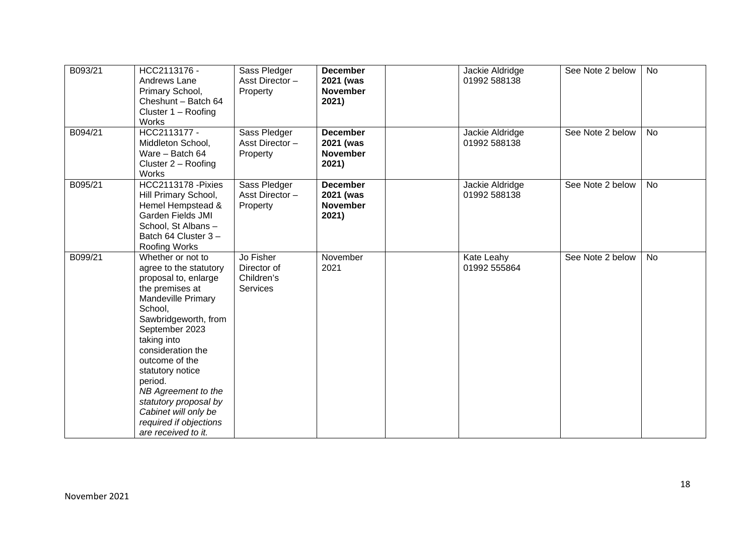| B093/21 | HCC2113176 -<br>Andrews Lane<br>Primary School,<br>Cheshunt - Batch 64<br>Cluster 1 - Roofing<br>Works                                                                                                                                                                                                                                                                                 | Sass Pledger<br>Asst Director-<br>Property                | <b>December</b><br>2021 (was<br><b>November</b><br>2021) | Jackie Aldridge<br>01992 588138 | See Note 2 below | <b>No</b> |
|---------|----------------------------------------------------------------------------------------------------------------------------------------------------------------------------------------------------------------------------------------------------------------------------------------------------------------------------------------------------------------------------------------|-----------------------------------------------------------|----------------------------------------------------------|---------------------------------|------------------|-----------|
| B094/21 | HCC2113177 -<br>Middleton School,<br>Ware - Batch 64<br>Cluster 2 - Roofing<br>Works                                                                                                                                                                                                                                                                                                   | Sass Pledger<br>Asst Director-<br>Property                | <b>December</b><br>2021 (was<br><b>November</b><br>2021) | Jackie Aldridge<br>01992 588138 | See Note 2 below | <b>No</b> |
| B095/21 | <b>HCC2113178 - Pixies</b><br>Hill Primary School,<br>Hemel Hempstead &<br><b>Garden Fields JMI</b><br>School, St Albans-<br>Batch 64 Cluster 3-<br><b>Roofing Works</b>                                                                                                                                                                                                               | Sass Pledger<br>Asst Director-<br>Property                | <b>December</b><br>2021 (was<br><b>November</b><br>2021) | Jackie Aldridge<br>01992 588138 | See Note 2 below | <b>No</b> |
| B099/21 | Whether or not to<br>agree to the statutory<br>proposal to, enlarge<br>the premises at<br><b>Mandeville Primary</b><br>School,<br>Sawbridgeworth, from<br>September 2023<br>taking into<br>consideration the<br>outcome of the<br>statutory notice<br>period.<br>NB Agreement to the<br>statutory proposal by<br>Cabinet will only be<br>required if objections<br>are received to it. | Jo Fisher<br>Director of<br>Children's<br><b>Services</b> | November<br>2021                                         | Kate Leahy<br>01992 555864      | See Note 2 below | <b>No</b> |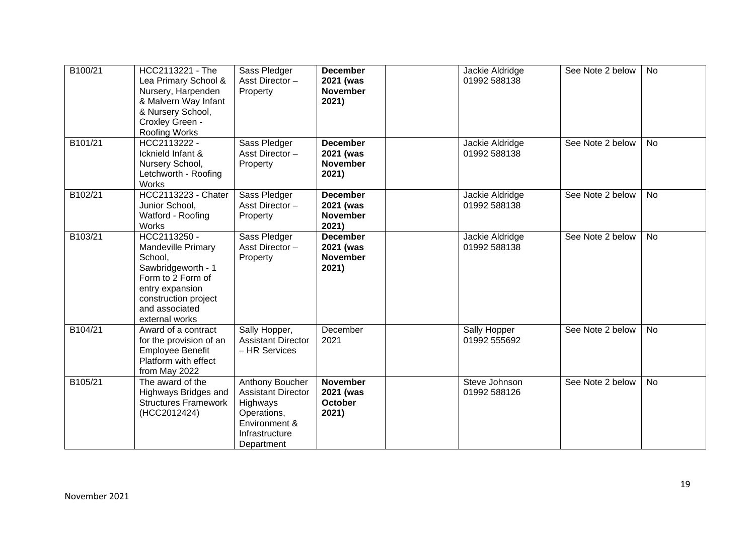| B100/21 | HCC2113221 - The<br>Lea Primary School &<br>Nursery, Harpenden<br>& Malvern Way Infant<br>& Nursery School,<br>Croxley Green -<br><b>Roofing Works</b>                         | Sass Pledger<br>Asst Director-<br>Property                                                                               | <b>December</b><br>2021 (was<br><b>November</b><br>2021) | Jackie Aldridge<br>01992 588138 | See Note 2 below | <b>No</b> |
|---------|--------------------------------------------------------------------------------------------------------------------------------------------------------------------------------|--------------------------------------------------------------------------------------------------------------------------|----------------------------------------------------------|---------------------------------|------------------|-----------|
| B101/21 | HCC2113222 -<br>Icknield Infant &<br>Nursery School,<br>Letchworth - Roofing<br>Works                                                                                          | Sass Pledger<br>Asst Director-<br>Property                                                                               | <b>December</b><br>2021 (was<br><b>November</b><br>2021) | Jackie Aldridge<br>01992 588138 | See Note 2 below | <b>No</b> |
| B102/21 | <b>HCC2113223 - Chater</b><br>Junior School,<br>Watford - Roofing<br>Works                                                                                                     | Sass Pledger<br>Asst Director -<br>Property                                                                              | <b>December</b><br>2021 (was<br><b>November</b><br>2021) | Jackie Aldridge<br>01992 588138 | See Note 2 below | <b>No</b> |
| B103/21 | HCC2113250 -<br><b>Mandeville Primary</b><br>School,<br>Sawbridgeworth - 1<br>Form to 2 Form of<br>entry expansion<br>construction project<br>and associated<br>external works | Sass Pledger<br>Asst Director-<br>Property                                                                               | <b>December</b><br>2021 (was<br><b>November</b><br>2021) | Jackie Aldridge<br>01992 588138 | See Note 2 below | <b>No</b> |
| B104/21 | Award of a contract<br>for the provision of an<br><b>Employee Benefit</b><br>Platform with effect<br>from May 2022                                                             | Sally Hopper,<br><b>Assistant Director</b><br>- HR Services                                                              | December<br>2021                                         | Sally Hopper<br>01992 555692    | See Note 2 below | <b>No</b> |
| B105/21 | The award of the<br>Highways Bridges and<br><b>Structures Framework</b><br>(HCC2012424)                                                                                        | Anthony Boucher<br><b>Assistant Director</b><br>Highways<br>Operations,<br>Environment &<br>Infrastructure<br>Department | <b>November</b><br>2021 (was<br><b>October</b><br>2021)  | Steve Johnson<br>01992 588126   | See Note 2 below | No        |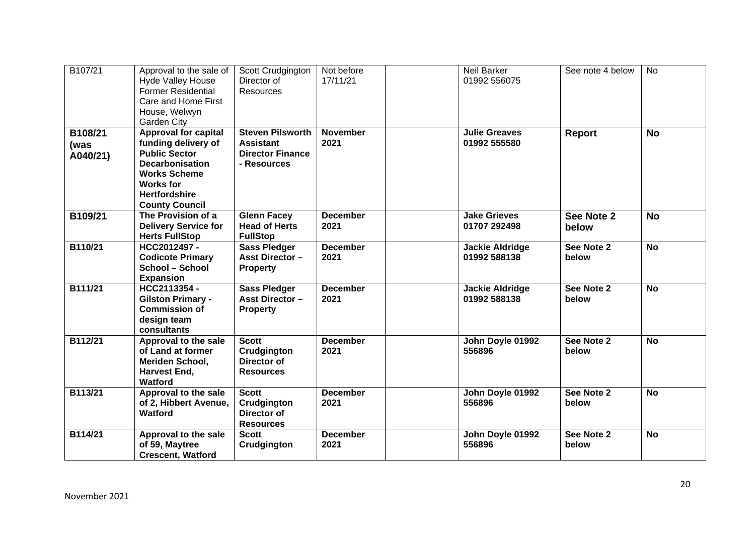| B107/21                     | Approval to the sale of<br><b>Hyde Valley House</b><br><b>Former Residential</b><br>Care and Home First<br>House, Welwyn<br><b>Garden City</b>                                                   | Scott Crudgington<br>Director of<br><b>Resources</b>                                  | Not before<br>17/11/21  | Neil Barker<br>01992 556075            | See note 4 below    | <b>No</b> |
|-----------------------------|--------------------------------------------------------------------------------------------------------------------------------------------------------------------------------------------------|---------------------------------------------------------------------------------------|-------------------------|----------------------------------------|---------------------|-----------|
| B108/21<br>(was<br>A040/21) | <b>Approval for capital</b><br>funding delivery of<br><b>Public Sector</b><br><b>Decarbonisation</b><br><b>Works Scheme</b><br><b>Works for</b><br><b>Hertfordshire</b><br><b>County Council</b> | <b>Steven Pilsworth</b><br><b>Assistant</b><br><b>Director Finance</b><br>- Resources | <b>November</b><br>2021 | <b>Julie Greaves</b><br>01992 555580   | <b>Report</b>       | <b>No</b> |
| B109/21                     | The Provision of a<br><b>Delivery Service for</b><br><b>Herts FullStop</b>                                                                                                                       | <b>Glenn Facey</b><br><b>Head of Herts</b><br><b>FullStop</b>                         | <b>December</b><br>2021 | <b>Jake Grieves</b><br>01707 292498    | See Note 2<br>below | <b>No</b> |
| B110/21                     | HCC2012497-<br><b>Codicote Primary</b><br>School - School<br><b>Expansion</b>                                                                                                                    | <b>Sass Pledger</b><br><b>Asst Director -</b><br><b>Property</b>                      | <b>December</b><br>2021 | <b>Jackie Aldridge</b><br>01992 588138 | See Note 2<br>below | <b>No</b> |
| B111/21                     | HCC2113354 -<br><b>Gilston Primary -</b><br><b>Commission of</b><br>design team<br>consultants                                                                                                   | <b>Sass Pledger</b><br><b>Asst Director-</b><br><b>Property</b>                       | <b>December</b><br>2021 | <b>Jackie Aldridge</b><br>01992 588138 | See Note 2<br>below | <b>No</b> |
| B112/21                     | Approval to the sale<br>of Land at former<br>Meriden School,<br>Harvest End.<br>Watford                                                                                                          | <b>Scott</b><br>Crudgington<br>Director of<br><b>Resources</b>                        | <b>December</b><br>2021 | John Doyle 01992<br>556896             | See Note 2<br>below | <b>No</b> |
| B113/21                     | Approval to the sale<br>of 2, Hibbert Avenue,<br>Watford                                                                                                                                         | <b>Scott</b><br>Crudgington<br>Director of<br><b>Resources</b>                        | <b>December</b><br>2021 | John Doyle 01992<br>556896             | See Note 2<br>below | <b>No</b> |
| B114/21                     | Approval to the sale<br>of 59, Maytree<br><b>Crescent, Watford</b>                                                                                                                               | <b>Scott</b><br>Crudgington                                                           | <b>December</b><br>2021 | John Doyle 01992<br>556896             | See Note 2<br>below | <b>No</b> |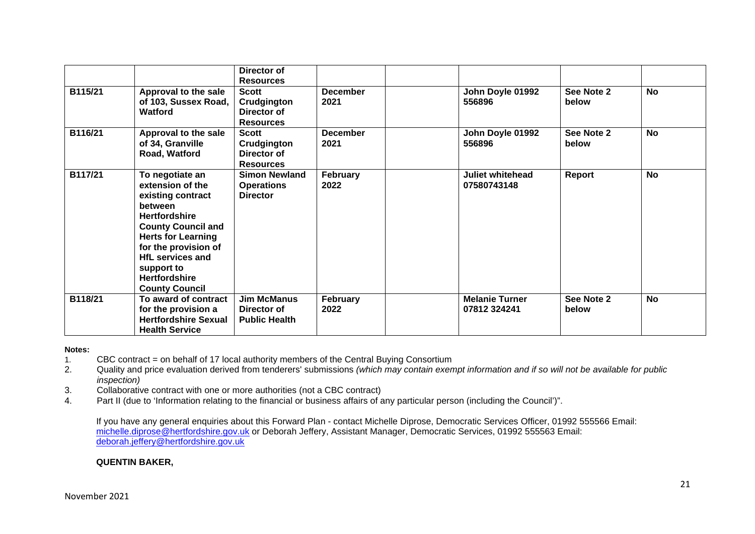|         |                                                                                                                                                                                                                                                                         | Director of<br><b>Resources</b>                                |                         |                                        |                     |           |
|---------|-------------------------------------------------------------------------------------------------------------------------------------------------------------------------------------------------------------------------------------------------------------------------|----------------------------------------------------------------|-------------------------|----------------------------------------|---------------------|-----------|
| B115/21 | Approval to the sale<br>of 103, Sussex Road,<br>Watford                                                                                                                                                                                                                 | <b>Scott</b><br>Crudgington<br>Director of<br><b>Resources</b> | <b>December</b><br>2021 | John Doyle 01992<br>556896             | See Note 2<br>below | <b>No</b> |
| B116/21 | Approval to the sale<br>of 34, Granville<br>Road, Watford                                                                                                                                                                                                               | <b>Scott</b><br>Crudgington<br>Director of<br><b>Resources</b> | <b>December</b><br>2021 | John Doyle 01992<br>556896             | See Note 2<br>below | <b>No</b> |
| B117/21 | To negotiate an<br>extension of the<br>existing contract<br>between<br><b>Hertfordshire</b><br><b>County Council and</b><br><b>Herts for Learning</b><br>for the provision of<br><b>HfL services and</b><br>support to<br><b>Hertfordshire</b><br><b>County Council</b> | <b>Simon Newland</b><br><b>Operations</b><br><b>Director</b>   | February<br>2022        | <b>Juliet whitehead</b><br>07580743148 | Report              | <b>No</b> |
| B118/21 | To award of contract<br>for the provision a<br><b>Hertfordshire Sexual</b><br><b>Health Service</b>                                                                                                                                                                     | <b>Jim McManus</b><br>Director of<br><b>Public Health</b>      | February<br>2022        | <b>Melanie Turner</b><br>07812 324241  | See Note 2<br>below | <b>No</b> |

### **Notes:**

- 1. CBC contract = on behalf of 17 local authority members of the Central Buying Consortium
- 2. Quality and price evaluation derived from tenderers' submissions *(which may contain exempt information and if so will not be available for public inspection)*
- 3. Collaborative contract with one or more authorities (not a CBC contract)
- 4. Part II (due to 'Information relating to the financial or business affairs of any particular person (including the Council')".

If you have any general enquiries about this Forward Plan - contact Michelle Diprose, Democratic Services Officer, 01992 555566 Email: [michelle.diprose@hertfordshire.gov.uk](mailto:michelle.diprose@hertfordshire.gov.uk) or Deborah Jeffery, Assistant Manager, Democratic Services, 01992 555563 Email: [deborah.jeffery@hertfordshire.gov.uk](mailto:deborah.jeffery@hertfordshire.gov.uk)

### **QUENTIN BAKER,**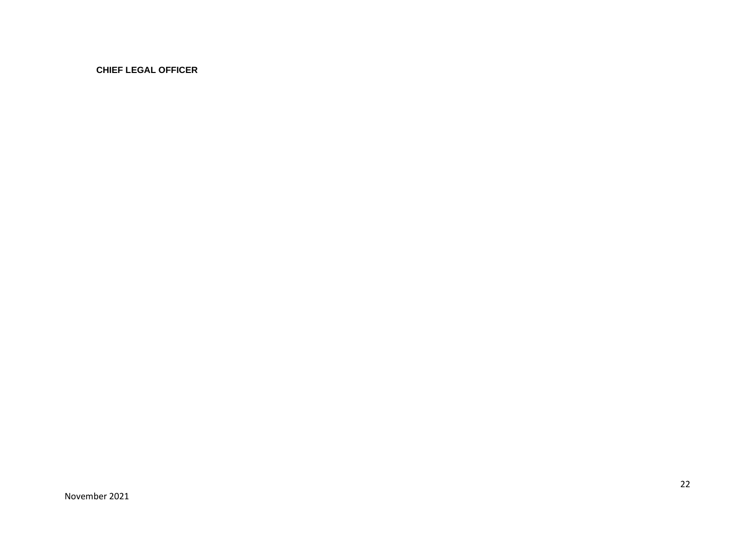**CHIEF LEGAL OFFICER**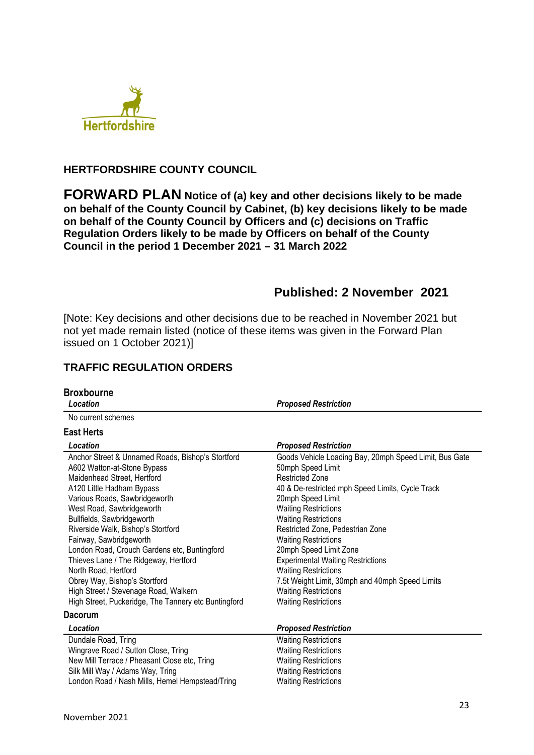

## **HERTFORDSHIRE COUNTY COUNCIL**

**FORWARD PLAN Notice of (a) key and other decisions likely to be made on behalf of the County Council by Cabinet, (b) key decisions likely to be made on behalf of the County Council by Officers and (c) decisions on Traffic Regulation Orders likely to be made by Officers on behalf of the County Council in the period 1 December 2021 – 31 March 2022** 

# **Published: 2 November 2021**

[Note: Key decisions and other decisions due to be reached in November 2021 but not yet made remain listed (notice of these items was given in the Forward Plan issued on 1 October 2021)]

## **TRAFFIC REGULATION ORDERS**

| <b>Broxbourne</b>                                                                                                                                                                                                                                                                                                                                                                                                                                                                                    |                                                                                                                                                                                                                                                                                                                                                                                                                                                                                                        |
|------------------------------------------------------------------------------------------------------------------------------------------------------------------------------------------------------------------------------------------------------------------------------------------------------------------------------------------------------------------------------------------------------------------------------------------------------------------------------------------------------|--------------------------------------------------------------------------------------------------------------------------------------------------------------------------------------------------------------------------------------------------------------------------------------------------------------------------------------------------------------------------------------------------------------------------------------------------------------------------------------------------------|
| Location                                                                                                                                                                                                                                                                                                                                                                                                                                                                                             | <b>Proposed Restriction</b>                                                                                                                                                                                                                                                                                                                                                                                                                                                                            |
| No current schemes                                                                                                                                                                                                                                                                                                                                                                                                                                                                                   |                                                                                                                                                                                                                                                                                                                                                                                                                                                                                                        |
| <b>East Herts</b>                                                                                                                                                                                                                                                                                                                                                                                                                                                                                    |                                                                                                                                                                                                                                                                                                                                                                                                                                                                                                        |
| Location                                                                                                                                                                                                                                                                                                                                                                                                                                                                                             | <b>Proposed Restriction</b>                                                                                                                                                                                                                                                                                                                                                                                                                                                                            |
| Anchor Street & Unnamed Roads, Bishop's Stortford<br>A602 Watton-at-Stone Bypass<br>Maidenhead Street, Hertford<br>A120 Little Hadham Bypass<br>Various Roads, Sawbridgeworth<br>West Road, Sawbridgeworth<br>Bullfields, Sawbridgeworth<br>Riverside Walk, Bishop's Stortford<br>Fairway, Sawbridgeworth<br>London Road, Crouch Gardens etc, Buntingford<br>Thieves Lane / The Ridgeway, Hertford<br>North Road, Hertford<br>Obrey Way, Bishop's Stortford<br>High Street / Stevenage Road, Walkern | Goods Vehicle Loading Bay, 20mph Speed Limit, Bus Gate<br>50mph Speed Limit<br><b>Restricted Zone</b><br>40 & De-restricted mph Speed Limits, Cycle Track<br>20mph Speed Limit<br><b>Waiting Restrictions</b><br><b>Waiting Restrictions</b><br>Restricted Zone, Pedestrian Zone<br><b>Waiting Restrictions</b><br>20mph Speed Limit Zone<br><b>Experimental Waiting Restrictions</b><br><b>Waiting Restrictions</b><br>7.5t Weight Limit, 30mph and 40mph Speed Limits<br><b>Waiting Restrictions</b> |
| High Street, Puckeridge, The Tannery etc Buntingford                                                                                                                                                                                                                                                                                                                                                                                                                                                 | <b>Waiting Restrictions</b>                                                                                                                                                                                                                                                                                                                                                                                                                                                                            |
| <b>Dacorum</b>                                                                                                                                                                                                                                                                                                                                                                                                                                                                                       |                                                                                                                                                                                                                                                                                                                                                                                                                                                                                                        |
| Location                                                                                                                                                                                                                                                                                                                                                                                                                                                                                             | <b>Proposed Restriction</b>                                                                                                                                                                                                                                                                                                                                                                                                                                                                            |
| Dundale Road, Tring<br>Wingrave Road / Sutton Close, Tring<br>New Mill Terrace / Pheasant Close etc, Tring<br>Silk Mill Way / Adams Way, Tring<br>London Road / Nash Mills, Hemel Hempstead/Tring                                                                                                                                                                                                                                                                                                    | <b>Waiting Restrictions</b><br><b>Waiting Restrictions</b><br><b>Waiting Restrictions</b><br><b>Waiting Restrictions</b><br><b>Waiting Restrictions</b>                                                                                                                                                                                                                                                                                                                                                |